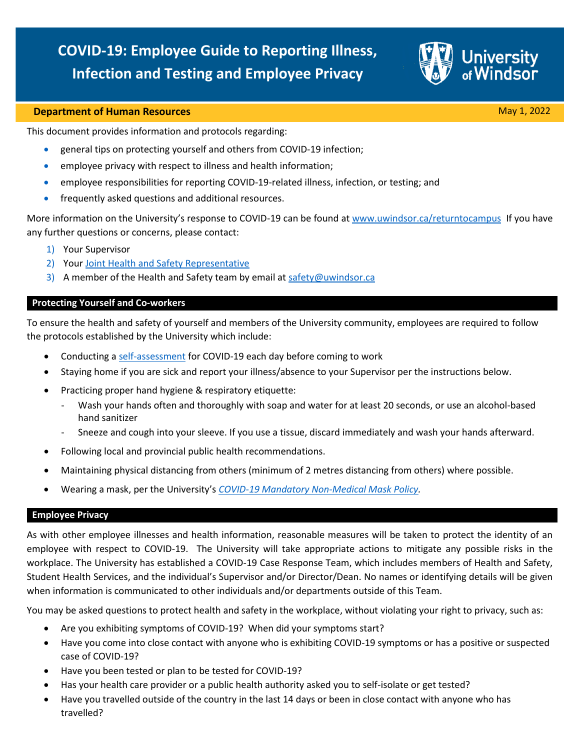# **COVID-19: Employee Guide to Reporting Illness, Infection and Testing and Employee Privacy**



### **Department of Human Resources** May 1, 2022 **May 1, 2022**

This document provides information and protocols regarding:

- general tips on protecting yourself and others from COVID-19 infection;
- employee privacy with respect to illness and health information;
- employee responsibilities for reporting COVID-19-related illness, infection, or testing; and
- frequently asked questions and additional resources.

More information on the University's response to COVID-19 can be found a[t www.uwindsor.ca/returntocampus](http://www.uwindsor.ca/returntocampus) If you have any further questions or concerns, please contact:

- 1) Your Supervisor
- 2) Your [Joint Health and Safety Representative](https://www.uwindsor.ca/humanresources/safety/committees)
- 3) A member of the Health and Safety team by email a[t safety@uwindsor.ca](mailto:safety@uwindsor.ca)

# **Protecting Yourself and Co-workers**

To ensure the health and safety of yourself and members of the University community, employees are required to follow the protocols established by the University which include:

- Conducting a [self-assessment](https://www.uwindsor.ca/returntocampus/sites/uwindsor.ca.returntocampus/files/ars_pullup_banners_april2022_stop.pdf) for COVID-19 each day before coming to work
- Staying home if you are sick and report your illness/absence to your Supervisor per the instructions below.
- Practicing proper hand hygiene & respiratory etiquette:
	- Wash your hands often and thoroughly with soap and water for at least 20 seconds, or use an alcohol-based hand sanitizer
	- Sneeze and cough into your sleeve. If you use a tissue, discard immediately and wash your hands afterward.
- Following local and provincial public health recommendations.
- Maintaining physical distancing from others (minimum of 2 metres distancing from others) where possible.
- Wearing a mask, per the University's *[COVID-19 Mandatory Non-Medical Mask Policy.](https://lawlibrary.uwindsor.ca/Presto/content/Detail.aspx?ctID=OTdhY2QzODgtNjhlYi00ZWY0LTg2OTUtNmU5NjEzY2JkMWYx&rID=MjQw&qrs=RmFsc2U=&q=KFVuaXZlcnNpdHlfb2ZfV2luZHNvcl9DZW50cmFsX1BvbGljaWVzLkFsbFRleHQ6KENPVklEKSk=&ph=VHJ1ZQ==&bckToL=VHJ1ZQ==&rrtc=VHJ1ZQ==)*

#### **Employee Privacy**

As with other employee illnesses and health information, reasonable measures will be taken to protect the identity of an employee with respect to COVID-19. The University will take appropriate actions to mitigate any possible risks in the workplace. The University has established a COVID-19 Case Response Team, which includes members of Health and Safety, Student Health Services, and the individual's Supervisor and/or Director/Dean. No names or identifying details will be given when information is communicated to other individuals and/or departments outside of this Team.

You may be asked questions to protect health and safety in the workplace, without violating your right to privacy, such as:

- Are you exhibiting symptoms of COVID-19? When did your symptoms start?
- Have you come into close contact with anyone who is exhibiting COVID-19 symptoms or has a positive or suspected case of COVID-19?
- Have you been tested or plan to be tested for COVID-19?
- Has your health care provider or a public health authority asked you to self-isolate or get tested?
- Have you travelled outside of the country in the last 14 days or been in close contact with anyone who has travelled?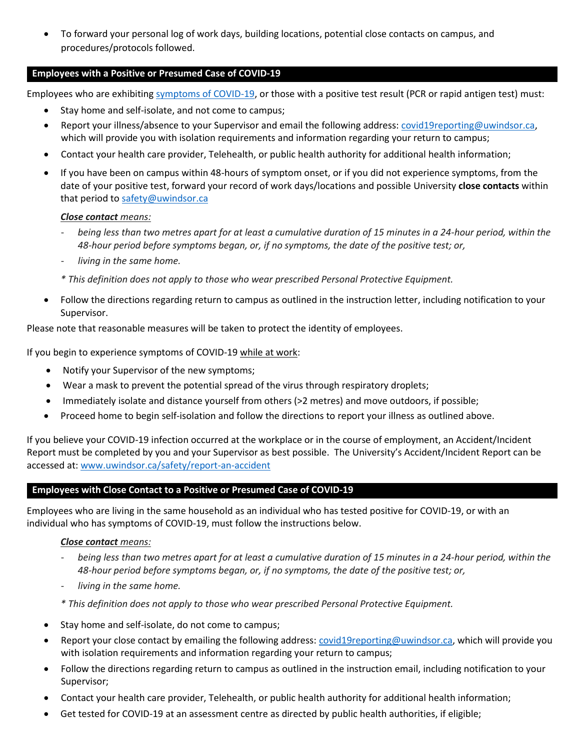• To forward your personal log of work days, building locations, potential close contacts on campus, and procedures/protocols followed.

# **Employees with a Positive or Presumed Case of COVID-19**

Employees who are exhibiting [symptoms of COVID-19,](https://www.health.gov.on.ca/en/pro/programs/publichealth/coronavirus/docs/2019_reference_doc_symptoms.pdf) or those with a positive test result (PCR or rapid antigen test) must:

- Stay home and self-isolate, and not come to campus;
- Report your illness/absence to your Supervisor and email the following address[: covid19reporting@uwindsor.ca,](mailto:covid19reporting@uwindsor.ca) which will provide you with isolation requirements and information regarding your return to campus;
- Contact your health care provider, Telehealth, or public health authority for additional health information;
- If you have been on campus within 48-hours of symptom onset, or if you did not experience symptoms, from the date of your positive test, forward your record of work days/locations and possible University **close contacts** within that period t[o safety@uwindsor.ca](mailto:safety@uwindsor.ca)

# *Close contact means:*

- *being less than two metres apart for at least a cumulative duration of 15 minutes in a 24-hour period, within the 48-hour period before symptoms began, or, if no symptoms, the date of the positive test; or,*
- *living in the same home.*
- *\* This definition does not apply to those who wear prescribed Personal Protective Equipment.*
- Follow the directions regarding return to campus as outlined in the instruction letter, including notification to your Supervisor.

Please note that reasonable measures will be taken to protect the identity of employees.

If you begin to experience symptoms of COVID-19 while at work:

- Notify your Supervisor of the new symptoms;
- Wear a mask to prevent the potential spread of the virus through respiratory droplets;
- Immediately isolate and distance yourself from others (>2 metres) and move outdoors, if possible;
- Proceed home to begin self-isolation and follow the directions to report your illness as outlined above.

If you believe your COVID-19 infection occurred at the workplace or in the course of employment, an Accident/Incident Report must be completed by you and your Supervisor as best possible. The University's Accident/Incident Report can be accessed at: [www.uwindsor.ca/safety/report-an-accident](http://www.uwindsor.ca/safety/report-an-accident)

# **Employees with Close Contact to a Positive or Presumed Case of COVID-19**

Employees who are living in the same household as an individual who has tested positive for COVID-19, or with an individual who has symptoms of COVID-19, must follow the instructions below.

#### *Close contact means:*

- *being less than two metres apart for at least a cumulative duration of 15 minutes in a 24-hour period, within the 48-hour period before symptoms began, or, if no symptoms, the date of the positive test; or,*
- *living in the same home.*
- *\* This definition does not apply to those who wear prescribed Personal Protective Equipment.*
- Stay home and self-isolate, do not come to campus;
- Report your close contact by emailing the following address[: covid19reporting@uwindsor.ca,](mailto:covid19reporting@uwindsor.ca) which will provide you with isolation requirements and information regarding your return to campus;
- Follow the directions regarding return to campus as outlined in the instruction email, including notification to your Supervisor;
- Contact your health care provider, Telehealth, or public health authority for additional health information;
- Get tested for COVID-19 at an assessment centre as directed by public health authorities, if eligible;